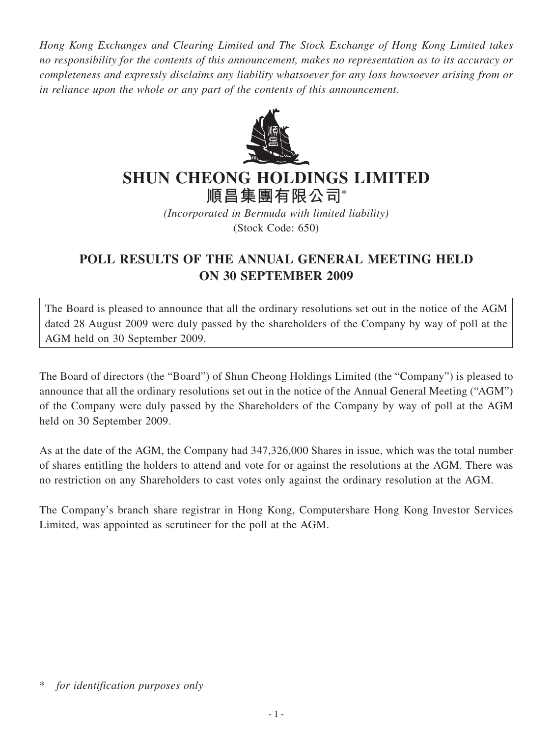*Hong Kong Exchanges and Clearing Limited and The Stock Exchange of Hong Kong Limited takes no responsibility for the contents of this announcement, makes no representation as to its accuracy or completeness and expressly disclaims any liability whatsoever for any loss howsoever arising from or in reliance upon the whole or any part of the contents of this announcement.*



## **SHUN CHEONG HOLDINGS LIMITED**

**順昌集團有限公司\***

*(Incorporated in Bermuda with limited liability)* (Stock Code: 650)

## **POLL RESULTS OF THE ANNUAL GENERAL MEETING HELD ON 30 SEPTEMBER 2009**

The Board is pleased to announce that all the ordinary resolutions set out in the notice of the AGM dated 28 August 2009 were duly passed by the shareholders of the Company by way of poll at the AGM held on 30 September 2009.

The Board of directors (the "Board") of Shun Cheong Holdings Limited (the "Company") is pleased to announce that all the ordinary resolutions set out in the notice of the Annual General Meeting ("AGM") of the Company were duly passed by the Shareholders of the Company by way of poll at the AGM held on 30 September 2009.

As at the date of the AGM, the Company had 347,326,000 Shares in issue, which was the total number of shares entitling the holders to attend and vote for or against the resolutions at the AGM. There was no restriction on any Shareholders to cast votes only against the ordinary resolution at the AGM.

The Company's branch share registrar in Hong Kong, Computershare Hong Kong Investor Services Limited, was appointed as scrutineer for the poll at the AGM.

for *identification purposes only*